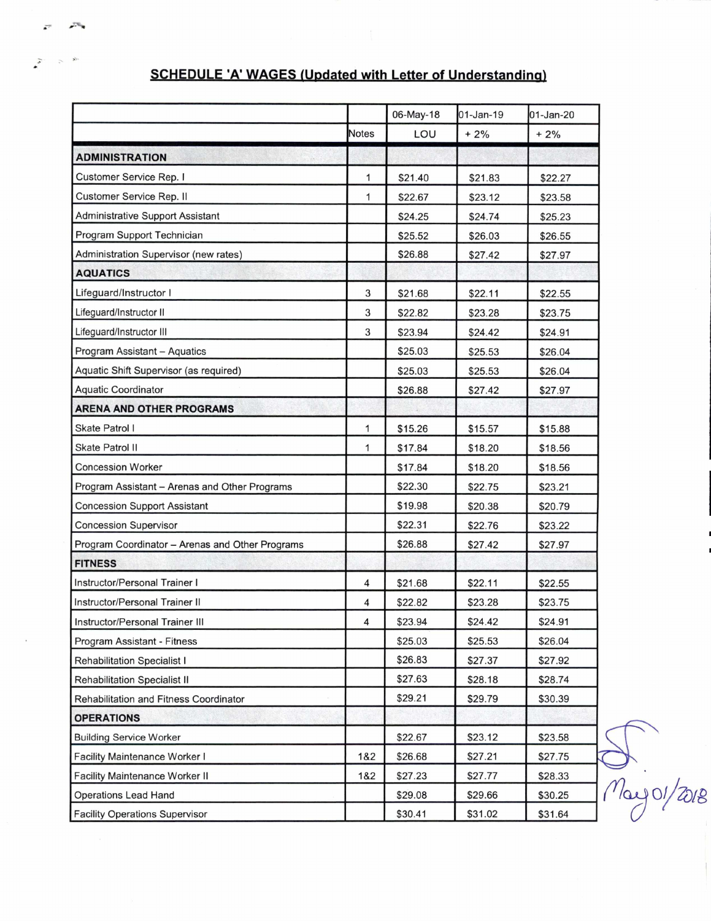|                                                 |              | 06-May-18 | 01-Jan-19 | 01-Jan-20 |
|-------------------------------------------------|--------------|-----------|-----------|-----------|
|                                                 | <b>Notes</b> | LOU       | $+2%$     | $+2%$     |
| <b>ADMINISTRATION</b>                           |              |           |           |           |
| Customer Service Rep. I                         | 1            | \$21.40   | \$21.83   | \$22.27   |
| Customer Service Rep. II                        | 1            | \$22.67   | \$23.12   | \$23.58   |
| Administrative Support Assistant                |              | \$24.25   | \$24.74   | \$25.23   |
| Program Support Technician                      |              | \$25.52   | \$26.03   | \$26.55   |
| Administration Supervisor (new rates)           |              | \$26.88   | \$27.42   | \$27.97   |
| <b>AQUATICS</b>                                 |              |           |           |           |
| Lifeguard/Instructor I                          | 3            | \$21.68   | \$22.11   | \$22.55   |
| Lifeguard/Instructor II                         | 3            | \$22.82   | \$23.28   | \$23.75   |
| Lifeguard/Instructor III                        | 3            | \$23.94   | \$24.42   | \$24.91   |
| Program Assistant - Aquatics                    |              | \$25.03   | \$25.53   | \$26.04   |
| Aquatic Shift Supervisor (as required)          |              | \$25.03   | \$25.53   | \$26.04   |
| <b>Aquatic Coordinator</b>                      |              | \$26.88   | \$27.42   | \$27.97   |
| <b>ARENA AND OTHER PROGRAMS</b>                 |              |           |           |           |
| Skate Patrol I                                  | $\mathbf{1}$ | \$15.26   | \$15.57   | \$15.88   |
| Skate Patrol II                                 | $\mathbf{1}$ | \$17.84   | \$18.20   | \$18.56   |
| <b>Concession Worker</b>                        |              | \$17.84   | \$18.20   | \$18.56   |
| Program Assistant - Arenas and Other Programs   |              | \$22.30   | \$22.75   | \$23.21   |
| <b>Concession Support Assistant</b>             |              | \$19.98   | \$20.38   | \$20.79   |
| <b>Concession Supervisor</b>                    |              | \$22.31   | \$22.76   | \$23.22   |
| Program Coordinator - Arenas and Other Programs |              | \$26.88   | \$27.42   | \$27.97   |
| <b>FITNESS</b>                                  |              |           |           |           |
| Instructor/Personal Trainer I                   | 4            | \$21.68   | \$22.11   | \$22.55   |
| Instructor/Personal Trainer II                  | 4            | \$22.82   | \$23.28   | \$23.75   |
| Instructor/Personal Trainer III                 | 4            | \$23.94   | \$24.42   | \$24.91   |
| Program Assistant - Fitness                     |              | \$25.03   | \$25.53   | \$26.04   |
| Rehabilitation Specialist I                     |              | \$26.83   | \$27.37   | \$27.92   |
| <b>Rehabilitation Specialist II</b>             |              | \$27.63   | \$28.18   | \$28.74   |
| Rehabilitation and Fitness Coordinator          |              | \$29.21   | \$29.79   | \$30.39   |
| <b>OPERATIONS</b>                               |              |           |           |           |
| <b>Building Service Worker</b>                  |              | \$22.67   | \$23.12   | \$23.58   |
| <b>Facility Maintenance Worker I</b>            | 1&2          | \$26.68   | \$27.21   | \$27.75   |
| <b>Facility Maintenance Worker II</b>           | 1&2          | \$27.23   | \$27.77   | \$28.33   |
| <b>Operations Lead Hand</b>                     |              | \$29.08   | \$29.66   | \$30.25   |
| <b>Facility Operations Supervisor</b>           |              | \$30.41   | \$31.02   | \$31.64   |

## **SCHEDULE 'A' WAGES (Updated with Letter of Understanding)**

 $2\%$